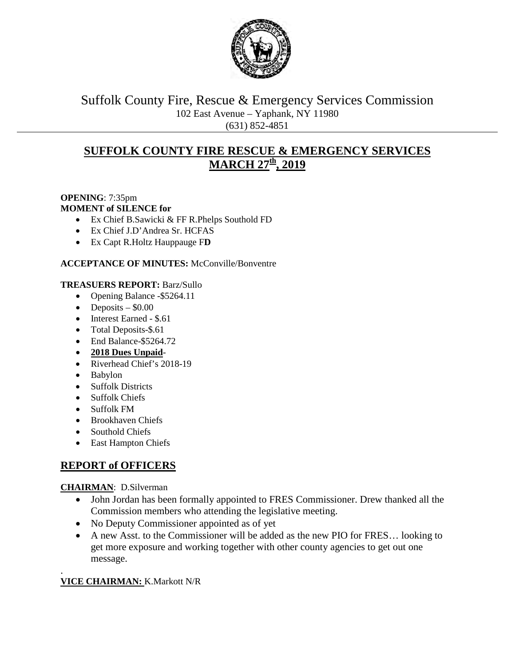

Suffolk County Fire, Rescue & Emergency Services Commission 102 East Avenue – Yaphank, NY 11980 (631) 852-4851

# **SUFFOLK COUNTY FIRE RESCUE & EMERGENCY SERVICES MARCH 27th, 2019**

#### **OPENING**: 7:35pm **MOMENT of SILENCE for**

- Ex Chief B.Sawicki & FF R.Phelps Southold FD
- Ex Chief J.D'Andrea Sr. HCFAS
- Ex Capt R.Holtz Hauppauge F**D**

## **ACCEPTANCE OF MINUTES:** McConville/Bonventre

### **TREASUERS REPORT:** Barz/Sullo

- Opening Balance -\$5264.11
- Deposits  $-$  \$0.00
- Interest Earned \$.61
- Total Deposits-\$.61
- End Balance-\$5264.72
- **2018 Dues Unpaid**-
- Riverhead Chief's 2018-19
- Babylon
- Suffolk Districts
- Suffolk Chiefs
- Suffolk FM
- Brookhaven Chiefs
- Southold Chiefs
- East Hampton Chiefs

# **REPORT of OFFICERS**

### **CHAIRMAN**: D.Silverman

- John Jordan has been formally appointed to FRES Commissioner. Drew thanked all the Commission members who attending the legislative meeting.
- No Deputy Commissioner appointed as of yet
- A new Asst. to the Commissioner will be added as the new PIO for FRES... looking to get more exposure and working together with other county agencies to get out one message.

#### . **VICE CHAIRMAN:** K.Markott N/R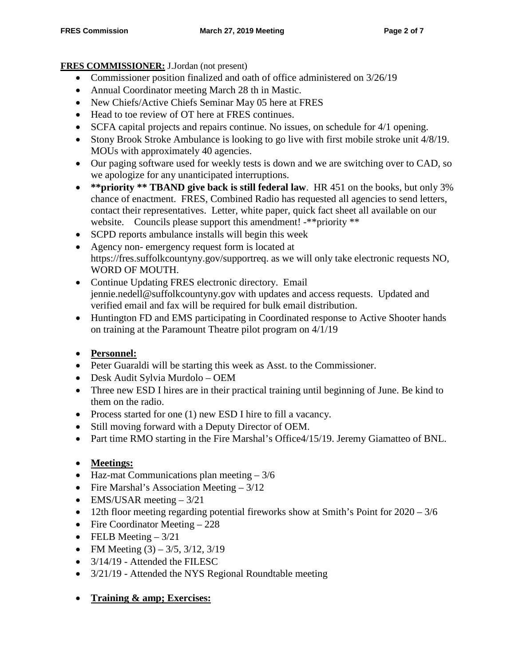## **FRES COMMISSIONER:** J.Jordan (not present)

- Commissioner position finalized and oath of office administered on  $3/26/19$
- Annual Coordinator meeting March 28 th in Mastic.
- New Chiefs/Active Chiefs Seminar May 05 here at FRES
- Head to toe review of OT here at FRES continues.
- SCFA capital projects and repairs continue. No issues, on schedule for 4/1 opening.
- Stony Brook Stroke Ambulance is looking to go live with first mobile stroke unit 4/8/19. MOUs with approximately 40 agencies.
- Our paging software used for weekly tests is down and we are switching over to CAD, so we apologize for any unanticipated interruptions.
- **\*\*priority \*\* TBAND give back is still federal law**. HR 451 on the books, but only 3% chance of enactment. FRES, Combined Radio has requested all agencies to send letters, contact their representatives. Letter, white paper, quick fact sheet all available on our website. Councils please support this amendment! -\*\*priority \*\*
- SCPD reports ambulance installs will begin this week
- Agency non- emergency request form is located at https://fres.suffolkcountyny.gov/supportreq. as we will only take electronic requests NO, WORD OF MOUTH.
- Continue Updating FRES electronic directory. Email jennie.nedell@suffolkcountyny.gov with updates and access requests. Updated and verified email and fax will be required for bulk email distribution.
- Huntington FD and EMS participating in Coordinated response to Active Shooter hands on training at the Paramount Theatre pilot program on 4/1/19
- **Personnel:**
- Peter Guaraldi will be starting this week as Asst. to the Commissioner.
- Desk Audit Sylvia Murdolo OEM
- Three new ESD I hires are in their practical training until beginning of June. Be kind to them on the radio.
- Process started for one (1) new ESD I hire to fill a vacancy.
- Still moving forward with a Deputy Director of OEM.
- Part time RMO starting in the Fire Marshal's Office4/15/19. Jeremy Giamatteo of BNL.
- **Meetings:**
- Haz-mat Communications plan meeting  $-3/6$
- Fire Marshal's Association Meeting 3/12
- EMS/USAR meeting  $-3/21$
- 12th floor meeting regarding potential fireworks show at Smith's Point for  $2020 3/6$
- Fire Coordinator Meeting 228
- FELB Meeting  $-3/21$
- FM Meeting  $(3) 3/5$ ,  $3/12$ ,  $3/19$
- 3/14/19 Attended the FILESC
- 3/21/19 Attended the NYS Regional Roundtable meeting
- **Training & amp; Exercises:**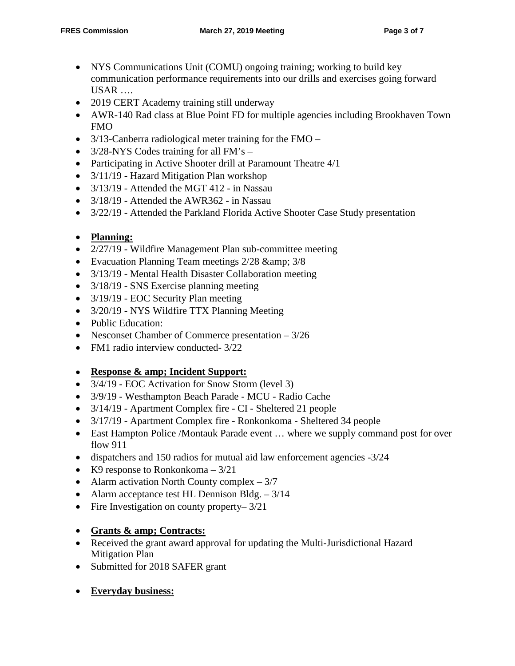- NYS Communications Unit (COMU) ongoing training; working to build key communication performance requirements into our drills and exercises going forward  $USAR$  ....
- 2019 CERT Academy training still underway
- AWR-140 Rad class at Blue Point FD for multiple agencies including Brookhaven Town FMO
- 3/13-Canberra radiological meter training for the FMO –
- 3/28-NYS Codes training for all FM's –
- Participating in Active Shooter drill at Paramount Theatre 4/1
- 3/11/19 Hazard Mitigation Plan workshop
- 3/13/19 Attended the MGT 412 in Nassau
- 3/18/19 Attended the AWR362 in Nassau
- 3/22/19 Attended the Parkland Florida Active Shooter Case Study presentation

## • **Planning:**

- 2/27/19 Wildfire Management Plan sub-committee meeting
- Evacuation Planning Team meetings 2/28 & amp; 3/8
- 3/13/19 Mental Health Disaster Collaboration meeting
- 3/18/19 SNS Exercise planning meeting
- 3/19/19 EOC Security Plan meeting
- 3/20/19 NYS Wildfire TTX Planning Meeting
- Public Education:
- Nesconset Chamber of Commerce presentation 3/26
- FM1 radio interview conducted-  $3/22$

## • **Response & amp; Incident Support:**

- 3/4/19 EOC Activation for Snow Storm (level 3)
- 3/9/19 Westhampton Beach Parade MCU Radio Cache
- $3/14/19$  Apartment Complex fire CI Sheltered 21 people
- 3/17/19 Apartment Complex fire Ronkonkoma Sheltered 34 people
- East Hampton Police /Montauk Parade event ... where we supply command post for over flow 911
- dispatchers and 150 radios for mutual aid law enforcement agencies -3/24
- K9 response to Ronkonkoma  $-3/21$
- Alarm activation North County complex  $-3/7$
- Alarm acceptance test HL Dennison Bldg. 3/14
- Fire Investigation on county property–  $3/21$

## • **Grants & amp; Contracts:**

- Received the grant award approval for updating the Multi-Jurisdictional Hazard Mitigation Plan
- Submitted for 2018 SAFER grant
- **Everyday business:**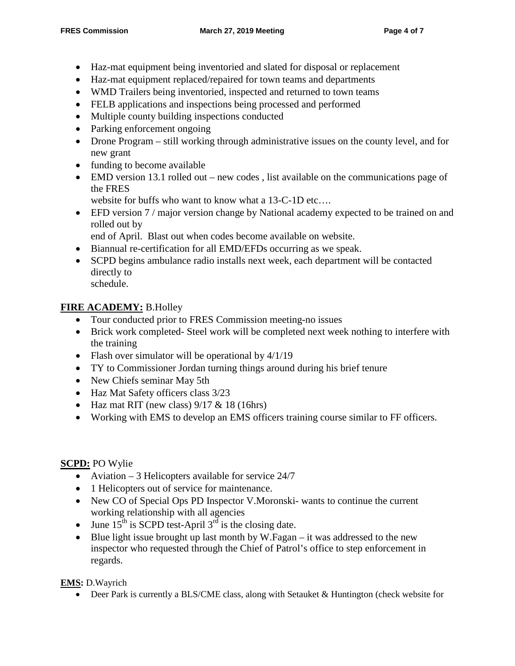- Haz-mat equipment being inventoried and slated for disposal or replacement
- Haz-mat equipment replaced/repaired for town teams and departments
- WMD Trailers being inventoried, inspected and returned to town teams
- FELB applications and inspections being processed and performed
- Multiple county building inspections conducted
- Parking enforcement ongoing
- Drone Program still working through administrative issues on the county level, and for new grant
- funding to become available
- EMD version 13.1 rolled out new codes, list available on the communications page of the FRES
	- website for buffs who want to know what a 13-C-1D etc....
- EFD version 7 / major version change by National academy expected to be trained on and rolled out by

end of April. Blast out when codes become available on website.

- Biannual re-certification for all EMD/EFDs occurring as we speak.
- SCPD begins ambulance radio installs next week, each department will be contacted directly to schedule.

## **FIRE ACADEMY:** B.Holley

- Tour conducted prior to FRES Commission meeting-no issues
- Brick work completed- Steel work will be completed next week nothing to interfere with the training
- Flash over simulator will be operational by  $4/1/19$
- TY to Commissioner Jordan turning things around during his brief tenure
- New Chiefs seminar May 5th
- Haz Mat Safety officers class 3/23
- Haz mat RIT (new class)  $9/17 \& 18$  (16hrs)
- Working with EMS to develop an EMS officers training course similar to FF officers.

## **SCPD:** PO Wylie

- Aviation 3 Helicopters available for service 24/7
- 1 Helicopters out of service for maintenance.
- New CO of Special Ops PD Inspector V.Moronski- wants to continue the current working relationship with all agencies
- June  $15^{th}$  is SCPD test-April  $3^{rd}$  is the closing date.
- Blue light issue brought up last month by W.Fagan it was addressed to the new inspector who requested through the Chief of Patrol's office to step enforcement in regards.

**EMS:** D.Wayrich

• Deer Park is currently a BLS/CME class, along with Setauket & Huntington (check website for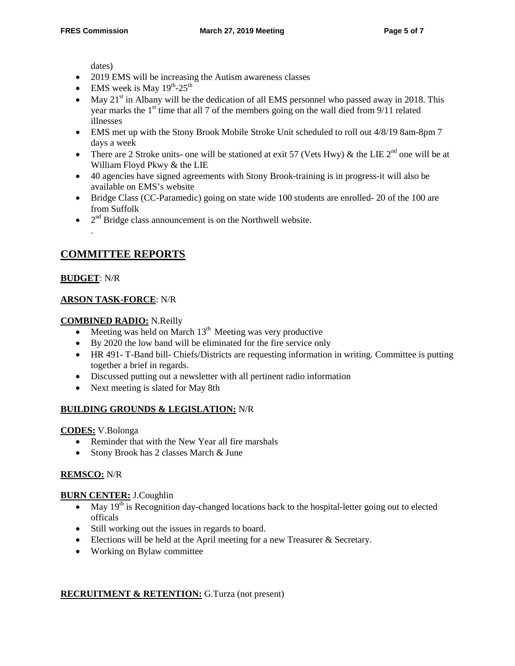dates)

- 2019 EMS will be increasing the Autism awareness classes
- EMS week is May  $19^{th}$ -25<sup>th</sup>
- May  $21<sup>st</sup>$  in Albany will be the dedication of all EMS personnel who passed away in 2018. This year marks the  $1<sup>st</sup>$  time that all 7 of the members going on the wall died from 9/11 related illnesses
- EMS met up with the Stony Brook Mobile Stroke Unit scheduled to roll out  $4/8/19$  8am-8pm 7 days a week
- There are 2 Stroke units- one will be stationed at exit 57 (Vets Hwy) & the LIE 2<sup>nd</sup> one will be at William Floyd Pkwy & the LIE
- 40 agencies have signed agreements with Stony Brook-training is in progress-it will also be available on EMS's website
- Bridge Class (CC-Paramedic) going on state wide 100 students are enrolled- 20 of the 100 are from Suffolk
- $2<sup>nd</sup>$  Bridge class announcement is on the Northwell website.

## **COMMITTEE REPORTS**

### **BUDGET**: N/R

.

## **ARSON TASK-FORCE**: N/R

### **COMBINED RADIO:** N.Reilly

- Meeting was held on March  $13<sup>th</sup>$  Meeting was very productive
- By 2020 the low band will be eliminated for the fire service only
- HR 491- T-Band bill- Chiefs/Districts are requesting information in writing. Committee is putting together a brief in regards.
- Discussed putting out a newsletter with all pertinent radio information
- Next meeting is slated for May 8th

### **BUILDING GROUNDS & LEGISLATION:** N/R

**CODES:** V.Bolonga

- Reminder that with the New Year all fire marshals
- Stony Brook has 2 classes March & June

### **REMSCO:** N/R

### **BURN CENTER:** J.Coughlin

- May  $19<sup>th</sup>$  is Recognition day-changed locations back to the hospital-letter going out to elected officals
- Still working out the issues in regards to board.
- Elections will be held at the April meeting for a new Treasurer & Secretary.
- Working on Bylaw committee

### **RECRUITMENT & RETENTION:** G.Turza (not present)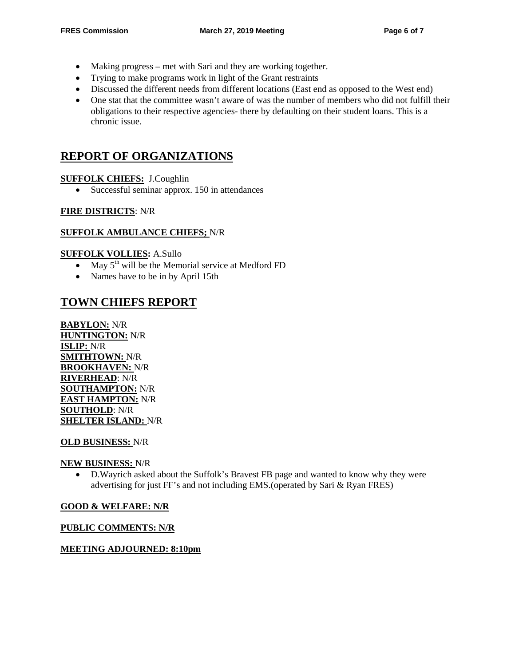- Making progress met with Sari and they are working together.
- Trying to make programs work in light of the Grant restraints
- Discussed the different needs from different locations (East end as opposed to the West end)
- One stat that the committee wasn't aware of was the number of members who did not fulfill their obligations to their respective agencies- there by defaulting on their student loans. This is a chronic issue.

# **REPORT OF ORGANIZATIONS**

### **SUFFOLK CHIEFS:** J.Coughlin

• Successful seminar approx. 150 in attendances

#### **FIRE DISTRICTS**: N/R

#### **SUFFOLK AMBULANCE CHIEFS;** N/R

#### **SUFFOLK VOLLIES:** A.Sullo

- May  $5<sup>th</sup>$  will be the Memorial service at Medford FD
- Names have to be in by April 15th

## **TOWN CHIEFS REPORT**

**BABYLON:** N/R **HUNTINGTON:** N/R **ISLIP:** N/R **SMITHTOWN:** N/R **BROOKHAVEN:** N/R **RIVERHEAD**: N/R **SOUTHAMPTON:** N/R **EAST HAMPTON:** N/R **SOUTHOLD**: N/R **SHELTER ISLAND:** N/R

#### **OLD BUSINESS:** N/R

#### **NEW BUSINESS:** N/R

• D.Wayrich asked about the Suffolk's Bravest FB page and wanted to know why they were advertising for just FF's and not including EMS.(operated by Sari & Ryan FRES)

#### **GOOD & WELFARE: N/R**

#### **PUBLIC COMMENTS: N/R**

#### **MEETING ADJOURNED: 8:10pm**